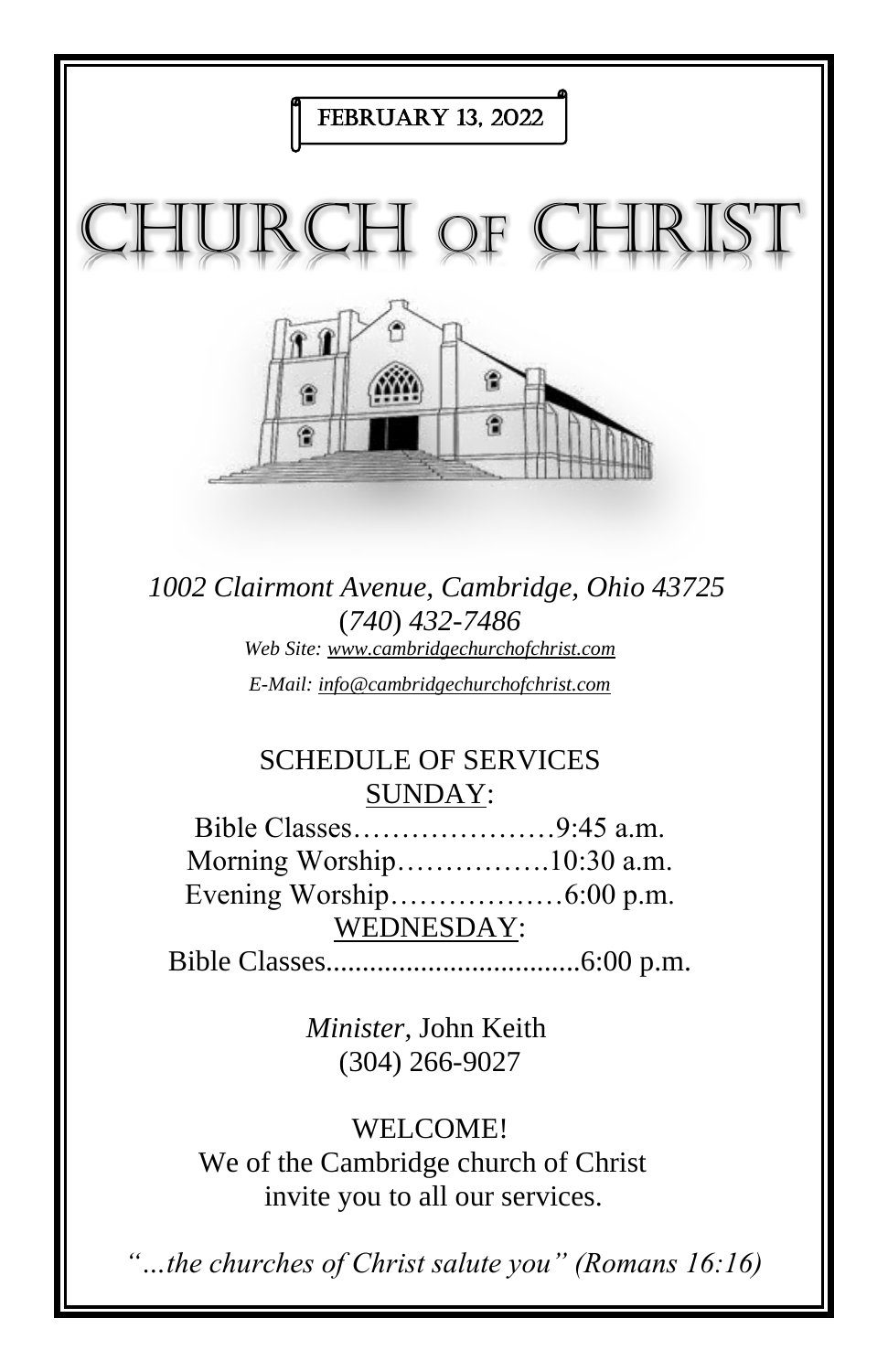

We of the Cambridge church of Christ invite you to all our services.

*"…the churches of Christ salute you" (Romans 16:16)*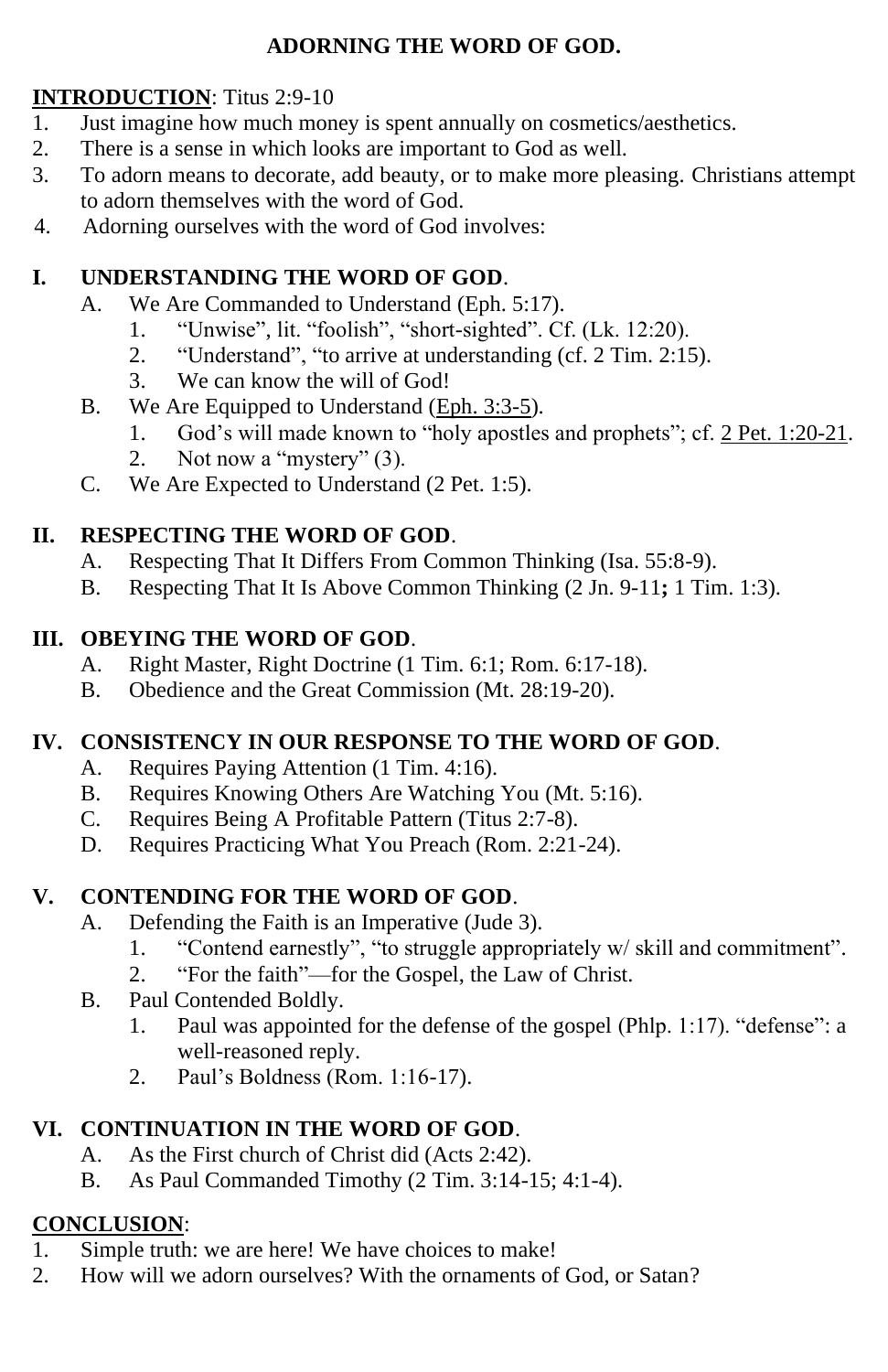#### **ADORNING THE WORD OF GOD.**

#### **INTRODUCTION**: Titus 2:9-10

- 1. Just imagine how much money is spent annually on cosmetics/aesthetics.
- 2. There is a sense in which looks are important to God as well.
- 3. To adorn means to decorate, add beauty, or to make more pleasing. Christians attempt to adorn themselves with the word of God.
- 4. Adorning ourselves with the word of God involves:

#### **I. UNDERSTANDING THE WORD OF GOD**.

- A. We Are Commanded to Understand (Eph. 5:17).
	- 1. "Unwise", lit. "foolish", "short-sighted". Cf. (Lk. 12:20).
	- 2. "Understand", "to arrive at understanding (cf. 2 Tim. 2:15).
	- 3. We can know the will of God!
- B. We Are Equipped to Understand (Eph. 3:3-5).
	- 1. God's will made known to "holy apostles and prophets"; cf. 2 Pet. 1:20-21.
	- 2. Not now a "mystery" (3).
- C. We Are Expected to Understand (2 Pet. 1:5).

### **II. RESPECTING THE WORD OF GOD**.

- A. Respecting That It Differs From Common Thinking (Isa. 55:8-9).
- B. Respecting That It Is Above Common Thinking (2 Jn. 9-11**;** 1 Tim. 1:3).

### **III. OBEYING THE WORD OF GOD**.

- A. Right Master, Right Doctrine (1 Tim. 6:1; Rom. 6:17-18).
- B. Obedience and the Great Commission (Mt. 28:19-20).

### **IV. CONSISTENCY IN OUR RESPONSE TO THE WORD OF GOD***.*

- A. Requires Paying Attention (1 Tim. 4:16).
- B. Requires Knowing Others Are Watching You (Mt. 5:16).
- C. Requires Being A Profitable Pattern (Titus 2:7-8).
- D. Requires Practicing What You Preach (Rom. 2:21-24).

### **V. CONTENDING FOR THE WORD OF GOD**.

- A. Defending the Faith is an Imperative (Jude 3).
	- 1. "Contend earnestly", "to struggle appropriately w/ skill and commitment".
	- 2. "For the faith"—for the Gospel, the Law of Christ.
- B. Paul Contended Boldly.
	- 1. Paul was appointed for the defense of the gospel (Phlp. 1:17). "defense": a well-reasoned reply.
	- 2. Paul's Boldness (Rom. 1:16-17).

### **VI. CONTINUATION IN THE WORD OF GOD**.

- A. As the First church of Christ did (Acts 2:42).
- B. As Paul Commanded Timothy (2 Tim. 3:14-15; 4:1-4).

### **CONCLUSION**:

- 1. Simple truth: we are here! We have choices to make!
- 2. How will we adorn ourselves? With the ornaments of God, or Satan?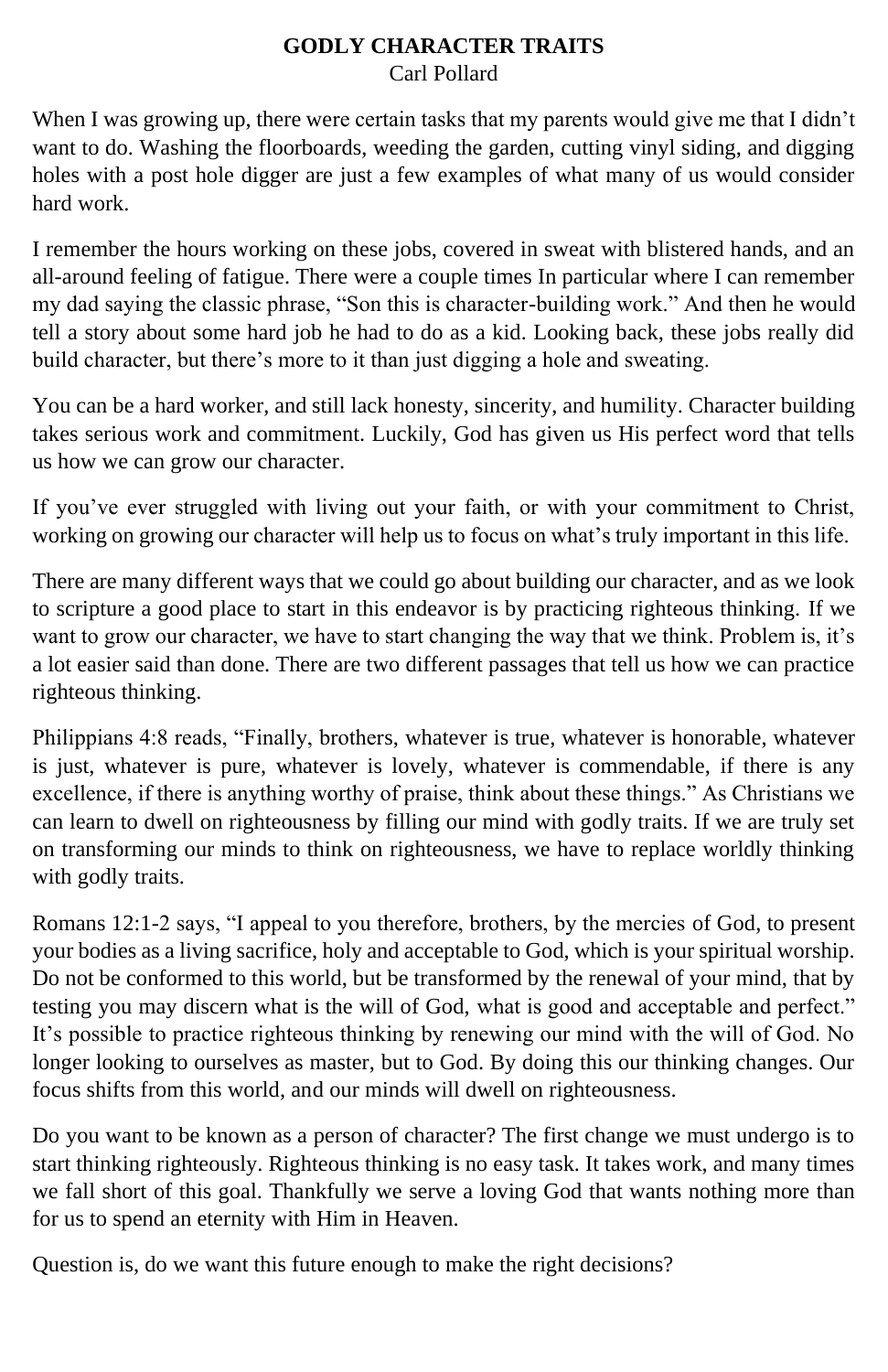#### **GODLY CHARACTER TRAITS** Carl Pollard

When I was growing up, there were certain tasks that my parents would give me that I didn't want to do. Washing the floorboards, weeding the garden, cutting vinyl siding, and digging holes with a post hole digger are just a few examples of what many of us would consider hard work.

I remember the hours working on these jobs, covered in sweat with blistered hands, and an all-around feeling of fatigue. There were a couple times In particular where I can remember my dad saying the classic phrase, "Son this is character-building work." And then he would tell a story about some hard job he had to do as a kid. Looking back, these jobs really did build character, but there's more to it than just digging a hole and sweating.

You can be a hard worker, and still lack honesty, sincerity, and humility. Character building takes serious work and commitment. Luckily, God has given us His perfect word that tells us how we can grow our character.

If you've ever struggled with living out your faith, or with your commitment to Christ, working on growing our character will help us to focus on what's truly important in this life.

There are many different ways that we could go about building our character, and as we look to scripture a good place to start in this endeavor is by practicing righteous thinking. If we want to grow our character, we have to start changing the way that we think. Problem is, it's a lot easier said than done. There are two different passages that tell us how we can practice righteous thinking.

Philippians 4:8 reads, "Finally, brothers, whatever is true, whatever is honorable, whatever is just, whatever is pure, whatever is lovely, whatever is commendable, if there is any excellence, if there is anything worthy of praise, think about these things." As Christians we can learn to dwell on righteousness by filling our mind with godly traits. If we are truly set on transforming our minds to think on righteousness, we have to replace worldly thinking with godly traits.

Romans 12:1-2 says, "I appeal to you therefore, brothers, by the mercies of God, to present your bodies as a living sacrifice, holy and acceptable to God, which is your spiritual worship. Do not be conformed to this world, but be transformed by the renewal of your mind, that by testing you may discern what is the will of God, what is good and acceptable and perfect." It's possible to practice righteous thinking by renewing our mind with the will of God. No longer looking to ourselves as master, but to God. By doing this our thinking changes. Our focus shifts from this world, and our minds will dwell on righteousness.

Do you want to be known as a person of character? The first change we must undergo is to start thinking righteously. Righteous thinking is no easy task. It takes work, and many times we fall short of this goal. Thankfully we serve a loving God that wants nothing more than for us to spend an eternity with Him in Heaven.

Question is, do we want this future enough to make the right decisions?